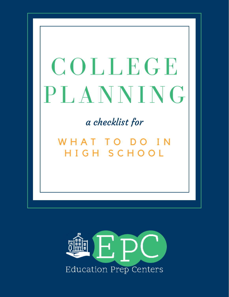# COLLEGE PLANNING

a checklist for

W H A T T O D O I N H I G H S C H O O L

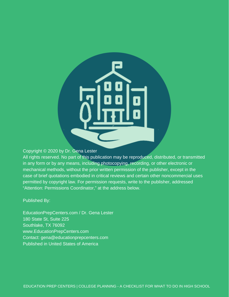

#### Copyright © 2020 by Dr. Gena Lester

All rights reserved. No part of this publication may be reproduced, distributed, or transmitted in any form or by any means, including photocopying, recording, or other electronic or mechanical methods, without the prior written permission of the publisher, except in the case of brief quotations embodied in critical reviews and certain other noncommercial uses permitted by copyright law. For permission requests, write to the publisher, addressed "Attention: Permissions Coordinator," at the address below.

#### Published By:

EducationPrepCenters.com / Dr. Gena Lester 180 State St, Suite 225 Southlake, TX 76092 www.EducationPrepCenters.com Contact: gena@educationprepcenters.com Published in United States of America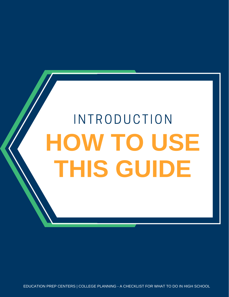# **HOW TO USE THIS GUIDE INTRODUCTION**

EDUCATION PREP CENTERS | COLLEGE PLANNING - A CHECKLIST FOR WHAT TO DO IN HIGH SCHOOL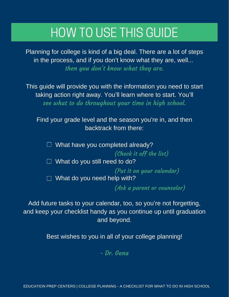# HOW TO USE THIS GUIDE

Planning for college is kind of a big deal. There are a lot of steps in the process, and if you don't know what they are, well... then you don't know what they are.

This guide will provide you with the information you need to start taking action right away. You'll learn where to start. You'll see what to do throughout your time in high school.

Find your grade level and the season you're in, and then backtrack from there:

 $\Box$  What have you completed already? (Check it off the list)

 $\Box$  What do you still need to do?

(Put it on your calendar) (Put it on your calendar)

 $\Box$  What do you need help with?

(Ask a parent or counselor) (Ask a parent or counselor)

Add future tasks to your calendar, too, so you're not forgetting, and keep your checklist handy as you continue up until graduation and beyond.

Best wishes to you in all of your college planning!

- Dr. Gena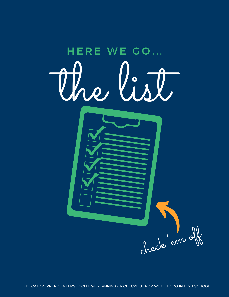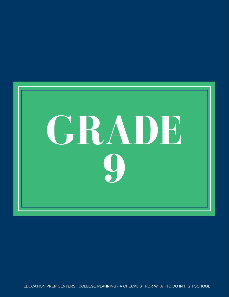

EDUCATION PREP CENTERS | COLLEGE PLANNING - A CHECKLIST FOR WHAT TO DO IN HIGH SCHOOL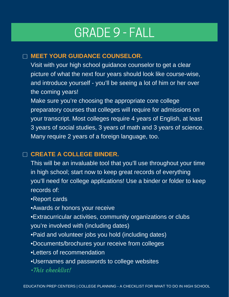# GRADE 9 - FALL

## **MEET YOUR GUIDANCE COUNSELOR.**

Visit with your high school guidance counselor to get a clear picture of what the next four years should look like course-wise, and introduce yourself - you'll be seeing a lot of him or her over the coming years!

Make sure you're choosing the appropriate core college preparatory courses that colleges will require for admissions on your transcript. Most colleges require 4 years of English, at least 3 years of social studies, 3 years of math and 3 years of science. Many require 2 years of a foreign language, too.

## **CREATE A COLLEGE BINDER.**

This will be an invaluable tool that you'll use throughout your time in high school; start now to keep great records of everything you'll need for college applications! Use a binder or folder to keep records of:

•Report cards

•Awards or honors your receive

•Extracurricular activities, community organizations or clubs you're involved with (including dates)

•Paid and volunteer jobs you hold (including dates)

- •Documents/brochures your receive from colleges
- •Letters of recommendation
- •Usernames and passwords to college websites
- •This checklist!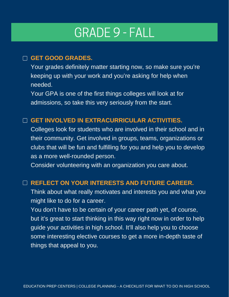# GRADE 9 - FALL

### **GET GOOD GRADES.**

Your grades definitely matter starting now, so make sure you're keeping up with your work and you're asking for help when needed.

Your GPA is one of the first things colleges will look at for admissions, so take this very seriously from the start.

## **GET INVOLVED IN EXTRACURRICULAR ACTIVITIES.**

Colleges look for students who are involved in their school and in their community. Get involved in groups, teams, organizations or clubs that will be fun and fulfilling for you and help you to develop as a more well-rounded person.

Consider volunteering with an organization you care about.

### **REFLECT ON YOUR INTERESTS AND FUTURE CAREER.**

Think about what really motivates and interests you and what you might like to do for a career.

You don't have to be certain of your career path yet, of course, but it's great to start thinking in this way right now in order to help guide your activities in high school. It'll also help you to choose some interesting elective courses to get a more in-depth taste of things that appeal to you.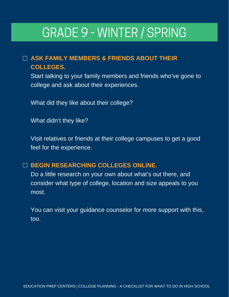# GRADE 9 - WINTER / SPRING

# **ASK FAMILY MEMBERS & FRIENDS ABOUT THEIR COLLEGES.**

Start talking to your family members and friends who've gone to college and ask about their experiences.

What did they like about their college?

What didn't they like?

Visit relatives or friends at their college campuses to get a good feel for the experience.

## **BEGIN RESEARCHING COLLEGES ONLINE.**

Do a little research on your own about what's out there, and consider what type of college, location and size appeals to you most.

You can visit your guidance counselor for more support with this, too.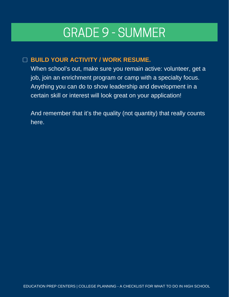# GRADE 9 - SUMMER

# **BUILD YOUR ACTIVITY / WORK RESUME.**

When school's out, make sure you remain active: volunteer, get a job, join an enrichment program or camp with a specialty focus. Anything you can do to show leadership and development in a certain skill or interest will look great on your application!

And remember that it's the quality (not quantity) that really counts here.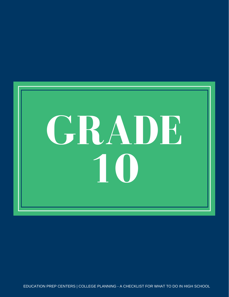

EDUCATION PREP CENTERS | COLLEGE PLANNING - A CHECKLIST FOR WHAT TO DO IN HIGH SCHOOL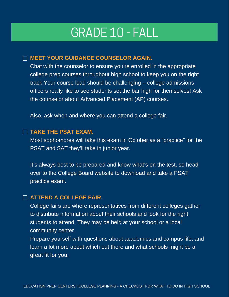# GRADE 10 - FALL

#### **MEET YOUR GUIDANCE COUNSELOR AGAIN.**

Chat with the counselor to ensure you're enrolled in the appropriate college prep courses throughout high school to keep you on the right track.Your course load should be challenging – college admissions officers really like to see students set the bar high for themselves! Ask the counselor about Advanced Placement (AP) courses.

Also, ask when and where you can attend a college fair.

#### **TAKE THE PSAT EXAM.**

Most sophomores will take this exam in October as a "practice" for the PSAT and SAT they'll take in junior year.

It's always best to be prepared and know what's on the test, so head over to the College Board website to download and take a PSAT practice exam.

#### **ATTEND A COLLEGE FAIR.**

College fairs are where representatives from different colleges gather to distribute information about their schools and look for the right students to attend. They may be held at your school or a local community center.

Prepare yourself with questions about academics and campus life, and learn a lot more about which out there and what schools might be a great fit for you.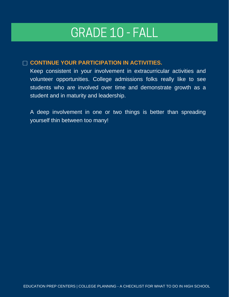# GRADE 10 - FALL

#### **CONTINUE YOUR PARTICIPATION IN ACTIVITIES.**

Keep consistent in your involvement in extracurricular activities and volunteer opportunities. College admissions folks really like to see students who are involved over time and demonstrate growth as a student and in maturity and leadership.

A deep involvement in one or two things is better than spreading yourself thin between too many!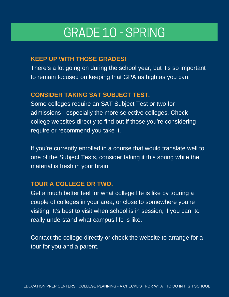# GRADE 10 - SPRING

### **KEEP UP WITH THOSE GRADES!**

There's a lot going on during the school year, but it's so important to remain focused on keeping that GPA as high as you can.

## **CONSIDER TAKING SAT SUBJECT TEST.**

Some colleges require an SAT Subject Test or two for admissions - especially the more selective colleges. Check college websites directly to find out if those you're considering require or recommend you take it.

If you're currently enrolled in a course that would translate well to one of the Subject Tests, consider taking it this spring while the material is fresh in your brain.

### **TOUR A COLLEGE OR TWO.**

Get a much better feel for what college life is like by touring a couple of colleges in your area, or close to somewhere you're visiting. It's best to visit when school is in session, if you can, to really understand what campus life is like.

Contact the college directly or check the website to arrange for a tour for you and a parent.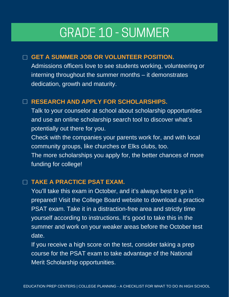# GRADE 10 - SUMMER

# **GET A SUMMER JOB OR VOLUNTEER POSITION.**

Admissions officers love to see students working, volunteering or interning throughout the summer months – it demonstrates dedication, growth and maturity.

### **RESEARCH AND APPLY FOR SCHOLARSHIPS.**

Talk to your counselor at school about scholarship opportunities and use an online scholarship search tool to discover what's potentially out there for you.

Check with the companies your parents work for, and with local community groups, like churches or Elks clubs, too. The more scholarships you apply for, the better chances of more

funding for college!

## **TAKE A PRACTICE PSAT EXAM.**

You'll take this exam in October, and it's always best to go in prepared! Visit the College Board website to download a practice PSAT exam. Take it in a distraction-free area and strictly time yourself according to instructions. It's good to take this in the summer and work on your weaker areas before the October test date.

If you receive a high score on the test, consider taking a prep course for the PSAT exam to take advantage of the National Merit Scholarship opportunities.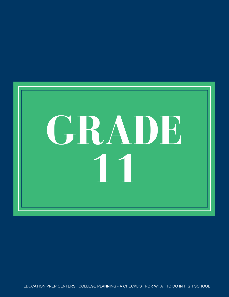

EDUCATION PREP CENTERS | COLLEGE PLANNING - A CHECKLIST FOR WHAT TO DO IN HIGH SCHOOL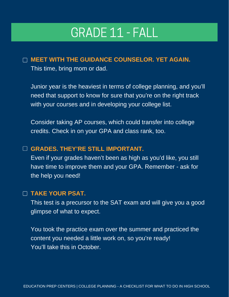# GRADE 11 - FALL

### **MEET WITH THE GUIDANCE COUNSELOR. YET AGAIN.**

This time, bring mom or dad.

Junior year is the heaviest in terms of college planning, and you'll need that support to know for sure that you're on the right track with your courses and in developing your college list.

Consider taking AP courses, which could transfer into college credits. Check in on your GPA and class rank, too.

# **GRADES. THEY'RE STILL IMPORTANT.**

Even if your grades haven't been as high as you'd like, you still have time to improve them and your GPA. Remember - ask for the help you need!

# **TAKE YOUR PSAT.**

This test is a precursor to the SAT exam and will give you a good glimpse of what to expect.

You took the practice exam over the summer and practiced the content you needed a little work on, so you're ready! You'll take this in October.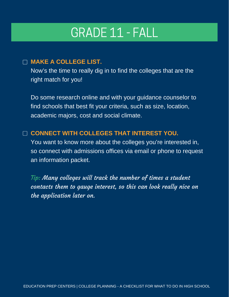# GRADE 11 - FALL

### **MAKE A COLLEGE LIST.**

Now's the time to really dig in to find the colleges that are the right match for you!

Do some research online and with your guidance counselor to find schools that best fit your criteria, such as size, location, academic majors, cost and social climate.

# **CONNECT WITH COLLEGES THAT INTEREST YOU.**

You want to know more about the colleges you're interested in, so connect with admissions offices via email or phone to request an information packet.

Tip: Many colleges will track the number of times a student contacts them to gauge interest, so this can look really nice on the application later on.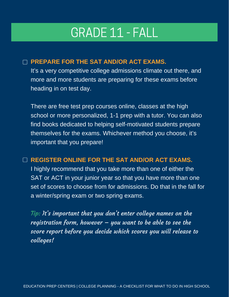# GRADE 11 - FALL

### **PREPARE FOR THE SAT AND/OR ACT EXAMS.**

It's a very competitive college admissions climate out there, and more and more students are preparing for these exams before heading in on test day.

There are free test prep courses online, classes at the high school or more personalized, 1-1 prep with a tutor. You can also find books dedicated to helping self-motivated students prepare themselves for the exams. Whichever method you choose, it's important that you prepare!

### **REGISTER ONLINE FOR THE SAT AND/OR ACT EXAMS.**

I highly recommend that you take more than one of either the SAT or ACT in your junior year so that you have more than one set of scores to choose from for admissions. Do that in the fall for a winter/spring exam or two spring exams.

Tip: It's important that you don't enter college names on the registration form, however  $-$  you want to be able to see the score report before you decide which scores you will release to colleges!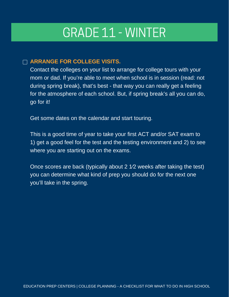# GRADE 11 - WINTER

#### **ARRANGE FOR COLLEGE VISITS.**

Contact the colleges on your list to arrange for college tours with your mom or dad. If you're able to meet when school is in session (read: not during spring break), that's best - that way you can really get a feeling for the atmosphere of each school. But, if spring break's all you can do, go for it!

Get some dates on the calendar and start touring.

This is a good time of year to take your first ACT and/or SAT exam to 1) get a good feel for the test and the testing environment and 2) to see where you are starting out on the exams.

Once scores are back (typically about 2 1⁄2 weeks after taking the test) you can determine what kind of prep you should do for the next one you'll take in the spring.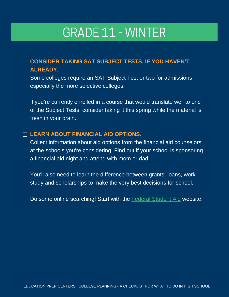# GRADE 11 - WINTER

# **CONSIDER TAKING SAT SUBJECT TESTS, IF YOU HAVEN'T ALREADY.**

Some colleges require an SAT Subject Test or two for admissions especially the more selective colleges.

If you're currently enrolled in a course that would translate well to one of the Subject Tests, consider taking it this spring while the material is fresh in your brain.

#### **LEARN ABOUT FINANCIAL AID OPTIONS.**

Collect information about aid options from the financial aid counselors at the schools you're considering. Find out if your school is sponsoring a financial aid night and attend with mom or dad.

You'll also need to learn the difference between grants, loans, work study and scholarships to make the very best decisions for school.

Do some online searching! Start with the Federal [Student](https://studentaid.gov/) Aid website.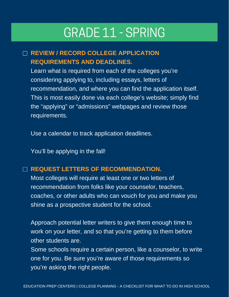# GRADE 11 - SPRING

# **REVIEW / RECORD COLLEGE APPLICATION REQUIREMENTS AND DEADLINES.**

Learn what is required from each of the colleges you're considering applying to, including essays, letters of recommendation, and where you can find the application itself. This is most easily done via each college's website; simply find the "applying" or "admissions" webpages and review those requirements.

Use a calendar to track application deadlines.

You'll be applying in the fall!

## □ REQUEST LETTERS OF RECOMMENDATION.

Most colleges will require at least one or two letters of recommendation from folks like your counselor, teachers, coaches, or other adults who can vouch for you and make you shine as a prospective student for the school.

Approach potential letter writers to give them enough time to work on your letter, and so that you're getting to them before other students are.

Some schools require a certain person, like a counselor, to write one for you. Be sure you're aware of those requirements so you're asking the right people.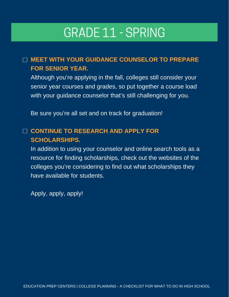# GRADE 11 - SPRING

# **MEET WITH YOUR GUIDANCE COUNSELOR TO PREPARE FOR SENIOR YEAR.**

Although you're applying in the fall, colleges still consider your senior year courses and grades, so put together a course load with your guidance counselor that's still challenging for you.

Be sure you're all set and on track for graduation!

# **CONTINUE TO RESEARCH AND APPLY FOR SCHOLARSHIPS.**

In addition to using your counselor and online search tools as a resource for finding scholarships, check out the websites of the colleges you're considering to find out what scholarships they have available for students.

Apply, apply, apply!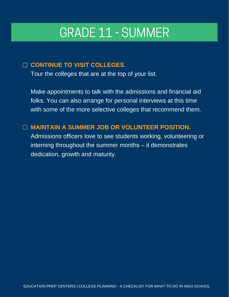# GRADE 11 - SUMMER

# **CONTINUE TO VISIT COLLEGES.**

Tour the colleges that are at the top of your list.

Make appointments to talk with the admissions and financial aid folks. You can also arrange for personal interviews at this time with some of the more selective colleges that recommend them.

# **MAINTAIN A SUMMER JOB OR VOLUNTEER POSITION.**

Admissions officers love to see students working, volunteering or interning throughout the summer months – it demonstrates dedication, growth and maturity.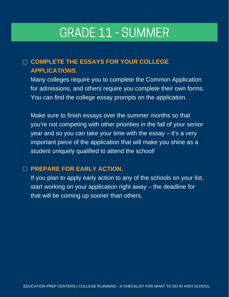# GRADE 11 - SUMMER

# **COMPLETE THE ESSAYS FOR YOUR COLLEGE APPLICATIONS.**

Many colleges require you to complete the Common Application for admissions, and others require you complete their own forms. You can find the college essay prompts on the application.

Make sure to finish essays over the summer months so that you're not competing with other priorities in the fall of your senior year and so you can take your time with the essay – it's a very important piece of the application that will make you shine as a student uniquely qualified to attend the school!

### **PREPARE FOR EARLY ACTION.**

If you plan to apply early action to any of the schools on your list, start working on your application right away – the deadline for that will be coming up sooner than others.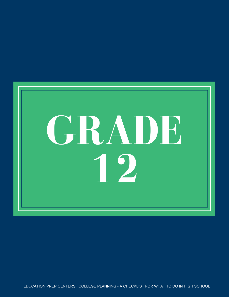

EDUCATION PREP CENTERS | COLLEGE PLANNING - A CHECKLIST FOR WHAT TO DO IN HIGH SCHOOL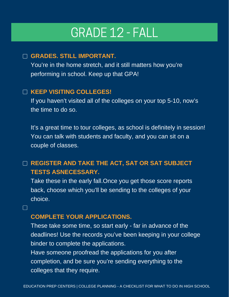# GRADE 12 - FALL

### **GRADES. STILL IMPORTANT.**

You're in the home stretch, and it still matters how you're performing in school. Keep up that GPA!

### **KEEP VISITING COLLEGES!**

If you haven't visited all of the colleges on your top 5-10, now's the time to do so.

It's a great time to tour colleges, as school is definitely in session! You can talk with students and faculty, and you can sit on a couple of classes.

# **REGISTER AND TAKE THE ACT, SAT OR SAT SUBJECT TESTS ASNECESSARY.**

Take these in the early fall.Once you get those score reports back, choose which you'll be sending to the colleges of your choice.

**COMPLETE YOUR APPLICATIONS.**

 $\Box$ 

These take some time, so start early - far in advance of the deadlines! Use the records you've been keeping in your college binder to complete the applications.

Have someone proofread the applications for you after completion, and be sure you're sending everything to the colleges that they require.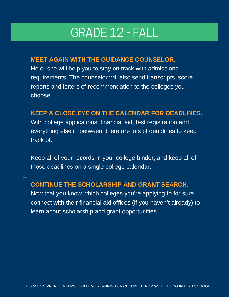# GRADE 12 - FALL

## **MEET AGAIN WITH THE GUIDANCE COUNSELOR.**

 $\Box$ 

 $\mathbf{1}$ 

He or she will help you to stay on track with admissions requirements. The counselor will also send transcripts, score reports and letters of recommendation to the colleges you choose.

## **KEEP A CLOSE EYE ON THE CALENDAR FOR DEADLINES.**

With college applications, financial aid, test registration and everything else in between, there are lots of deadlines to keep track of.

Keep all of your records in your college binder, and keep all of those deadlines on a single college calendar.

### **CONTINUE THE SCHOLARSHIP AND GRANT SEARCH.**

Now that you know which colleges you're applying to for sure, connect with their financial aid offices (if you haven't already) to learn about scholarship and grant opportunities.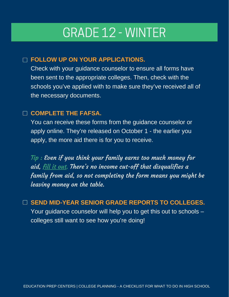# GRADE 12 - WINTER

# **FOLLOW UP ON YOUR APPLICATIONS.**

Check with your guidance counselor to ensure all forms have been sent to the appropriate colleges. Then, check with the schools you've applied with to make sure they've received all of the necessary documents.

### **COMPLETE THE FAFSA.**

You can receive these forms from the guidance counselor or apply online. They're released on October 1 - the earlier you apply, the more aid there is for you to receive.

Tip : Even if you think your family earns too much money for aid, fill it out. There's no income cut-off that disqualifies a family from aid, so not completing the form means you might be leaving money on the table.

**SEND MID-YEAR SENIOR GRADE REPORTS TO COLLEGES.** Your guidance counselor will help you to get this out to schools – colleges still want to see how you're doing!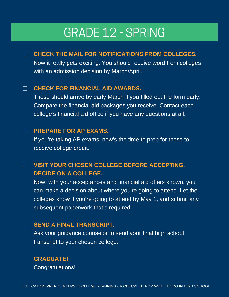# GRADE 12 - SPRING

**CHECK THE MAIL FOR NOTIFICATIONS FROM COLLEGES.**  $\Box$ Now it really gets exciting. You should receive word from colleges with an admission decision by March/April.

#### **CHECK FOR FINANCIAL AID AWARDS.**  $\Box$

These should arrive by early March if you filled out the form early. Compare the financial aid packages you receive. Contact each college's financial aid office if you have any questions at all.

#### **PREPARE FOR AP EXAMS.**

 $\Box$ 

 $\Box$ 

If you're taking AP exams, now's the time to prep for those to receive college credit.

#### **VISIT YOUR CHOSEN COLLEGE BEFORE ACCEPTING.**  $\Box$ **DECIDE ON A COLLEGE.**

Now, with your acceptances and financial aid offers known, you can make a decision about where you're going to attend. Let the colleges know if you're going to attend by May 1, and submit any subsequent paperwork that's required.

#### **SEND A FINAL TRANSCRIPT.**

Ask your guidance counselor to send your final high school transcript to your chosen college.



Congratulations!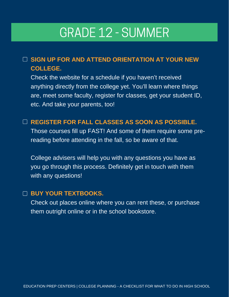# GRADE 12 - SUMMER

# **SIGN UP FOR AND ATTEND ORIENTATION AT YOUR NEW COLLEGE.**

Check the website for a schedule if you haven't received anything directly from the college yet. You'll learn where things are, meet some faculty, register for classes, get your student ID, etc. And take your parents, too!

### **REGISTER FOR FALL CLASSES AS SOON AS POSSIBLE.**

Those courses fill up FAST! And some of them require some prereading before attending in the fall, so be aware of that.

College advisers will help you with any questions you have as you go through this process. Definitely get in touch with them with any questions!

### **BUY YOUR TEXTBOOKS.**

Check out places online where you can rent these, or purchase them outright online or in the school bookstore.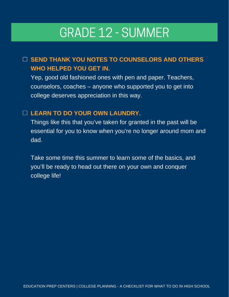# GRADE 12 - SUMMER

# **SEND THANK YOU NOTES TO COUNSELORS AND OTHERS WHO HELPED YOU GET IN.**

Yep, good old fashioned ones with pen and paper. Teachers, counselors, coaches – anyone who supported you to get into college deserves appreciation in this way.

## **LEARN TO DO YOUR OWN LAUNDRY.**

Things like this that you've taken for granted in the past will be essential for you to know when you're no longer around mom and dad.

Take some time this summer to learn some of the basics, and you'll be ready to head out there on your own and conquer college life!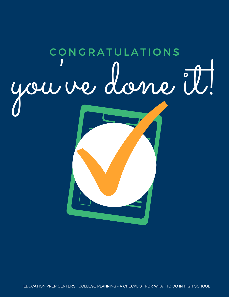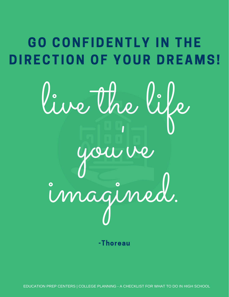# GO CONFIDENTLY IN THE DIRECTION OF YOUR DREAMS!



'

you ve

imagined.

-Thoreau

EDUCATION PREP CENTERS | COLLEGE PLANNING - A CHECKLIST FOR WHAT TO DO IN HIGH SCHOOL